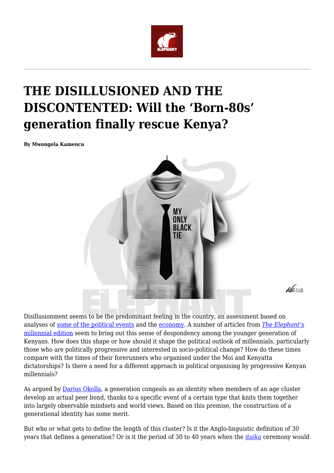

## **THE DISILLUSIONED AND THE DISCONTENTED: Will the 'Born-80s' generation finally rescue Kenya?**

**By Mwongela Kamencu**



 $452018$ 

Disillusionment seems to be the predominant feeling in the country, an assessment based on analyses of [some of the political events](https://www.theeastafricanreview.info/op-eds/2018/04/02/raila-odinga-laundering-the-dictatorship-and-its-sons-since-1997/) and the [economy](https://www.theeastafricanreview.info/op-eds/2018/05/12/hustler-nation-jobless-youth-millennial-angst-and-the-political-economy-of-underachievement/). A number of articles from *[The Elephant's](https://www.theelephant.info/editions/millennials/)* [millennial edition](https://www.theelephant.info/editions/millennials/) seem to bring out this sense of despondency among the younger generation of Kenyans. How does this shape or how should it shape the political outlook of millennials, particularly those who are politically progressive and interested in socio-political change? How do these times compare with the times of their forerunners who organised under the Moi and Kenyatta dictatorships? Is there a need for a different approach in political organising by progressive Kenyan millennials?

As argued by **[Darius Okolla](https://www.theelephant.info/reflections/2018/04/19/therevolution-shall-not-be-instagrammed)**, a generation congeals as an identity when members of an age cluster develop an actual peer bond, thanks to a specific event of a certain type that knits them together into largely observable mindsets and world views. Based on this premise, the construction of a generational identity has some merit.

But who or what gets to define the length of this cluster? Is it the Anglo-linguistic definition of 30 years that defines a generation? Or is it the period of 30 to 40 years when the *[ituika](https://www.jstor.org/stable/pdf/25473402.pdf?refreqid=excelsior%3Af6411ddfe72d00900ae1e48ae121c972)* ceremony would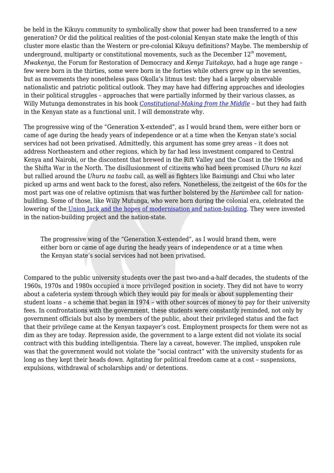be held in the Kikuyu community to symbolically show that power had been transferred to a new generation? Or did the political realities of the post-colonial Kenyan state make the length of this cluster more elastic than the Western or pre-colonial Kikuyu definitions? Maybe. The membership of underground, multiparty or constitutional movements, such as the December  $12<sup>th</sup>$  movement, *Mwakenya*, the Forum for Restoration of Democracy and *Kenya Tuitakayo*, had a huge age range – few were born in the thirties, some were born in the forties while others grew up in the seventies, but as movements they nonetheless pass Okolla's litmus test: they had a largely observable nationalistic and patriotic political outlook. They may have had differing approaches and ideologies in their political struggles – approaches that were partially informed by their various classes, as Willy Mutunga demonstrates in his book *[Constitutional-Making from the Middle](https://books.google.com/books/about/Constitution_Making_from_the_Middle.html?id=UcUkAQAAIAAJ)* – but they had faith in the Kenyan state as a functional unit. I will demonstrate why.

The progressive wing of the "Generation X-extended", as I would brand them, were either born or came of age during the heady years of independence or at a time when the Kenyan state's social services had not been privatised. Admittedly, this argument has some grey areas – it does not address Northeastern and other regions, which by far had less investment compared to Central Kenya and Nairobi, or the discontent that brewed in the Rift Valley and the Coast in the 1960s and the Shifta War in the North. The disillusionment of citizens who had been promised *Uhuru na kazi* but rallied around the *Uhuru na taabu* call, as well as fighters like Baimungi and Chui who later picked up arms and went back to the forest, also refers. Nonetheless, the zeitgeist of the 60s for the most part was one of relative optimism that was further bolstered by the *Harambee* call for nationbuilding. Some of those, like Willy Mutunga, who were born during the colonial era, celebrated the lowering of the [Union Jack and the hopes of modernisation and nation-building.](https://books.google.co.ke/books?redir_esc=y&id=UcUkAQAAIAAJ&focus=searchwithinvolume&q=Union+jack) They were invested in the nation-building project and the nation-state.

The progressive wing of the "Generation X-extended", as I would brand them, were either born or came of age during the heady years of independence or at a time when the Kenyan state's social services had not been privatised.

Compared to the public university students over the past two-and-a-half decades, the students of the 1960s, 1970s and 1980s occupied a more privileged position in society. They did not have to worry about a cafeteria system through which they would pay for meals or about supplementing their student loans – a scheme that began in 1974 – with other sources of money to pay for their university fees. In confrontations with the government, these students were constantly reminded, not only by government officials but also by members of the public, about their privileged status and the fact that their privilege came at the Kenyan taxpayer's cost. Employment prospects for them were not as dim as they are today. Repression aside, the government to a large extent did not violate its social contract with this budding intelligentsia. There lay a caveat, however. The implied, unspoken rule was that the government would not violate the "social contract" with the university students for as long as they kept their heads down. Agitating for political freedom came at a cost – suspensions, expulsions, withdrawal of scholarships and/ or detentions.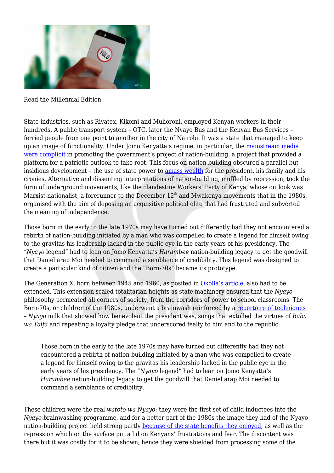

Read the Millennial Edition

State industries, such as Rivatex, Kikomi and Muhoroni, employed Kenyan workers in their hundreds. A public transport system – OTC, later the Nyayo Bus and the Kenyan Bus Services – ferried people from one point to another in the city of Nairobi. It was a state that managed to keep up an image of functionality. Under Jomo Kenyatta's regime, in particular, the [mainstream media](http://www.jstor.org/stable/10.2979/africatoday.57.3.77) [were complicit](http://www.jstor.org/stable/10.2979/africatoday.57.3.77) in promoting the government's project of nation-building, a project that provided a platform for a patriotic outlook to take root. This focus on nation-building obscured a parallel but insidious development – the use of state power to [amass wealth](https://www.nytimes.com/1975/10/17/archives/corruption-and-repression-mar-the-success-of-kenya-kenyas-success.html) for the president, his family and his cronies. Alternative and dissenting interpretations of nation-building, muffled by repression, took the form of underground movements, like the clandestine Workers' Party of Kenya, whose outlook was Marxist-nationalist, a forerunner to the December  $12<sup>th</sup>$  and Mwakenya movements that in the 1980s, organised with the aim of deposing an acquisitive political elite that had frustrated and subverted the meaning of independence.

Those born in the early to the late 1970s may have turned out differently had they not encountered a rebirth of nation-building initiated by a man who was compelled to create a legend for himself owing to the gravitas his leadership lacked in the public eye in the early years of his presidency. The "*Nyayo* legend" had to lean on Jomo Kenyatta's *Harambee* nation-building legacy to get the goodwill that Daniel arap Moi needed to command a semblance of credibility. This legend was designed to create a particular kind of citizen and the "Born-70s" became its prototype.

The Generation X, born between 1945 and 1960, as posited in [Okolla's article,](https://www.theelephant.info/reflections/2018/04/19/therevolution-shall-not-be-instagrammed) also had to be extended. This extension scaled totalitarian heights as state machinery ensured that the *Nyayo* philosophy permeated all corners of society, from the corridors of power to school classrooms. The Born-70s, or children of the 1980s, underwent a brainwash reinforced by a [repertoire of techniques](https://www.theelephant.info/reflections/2018/05/24/children-of-a-revolution-that-never-was/) – *Nyayo* milk that showed how benevolent the president was, songs that extolled the virtues of *Baba wa Taifa* and repeating a loyalty pledge that underscored fealty to him and to the republic.

Those born in the early to the late 1970s may have turned out differently had they not encountered a rebirth of nation-building initiated by a man who was compelled to create a legend for himself owing to the gravitas his leadership lacked in the public eye in the early years of his presidency. The "*Nyayo* legend" had to lean on Jomo Kenyatta's *Harambee* nation-building legacy to get the goodwill that Daniel arap Moi needed to command a semblance of credibility.

These children were the real *watoto wa Nyayo*; they were the first set of child inductees into the *Nyayo*-brainwashing programme, and for a better part of the 1980s the image they had of the Nyayo nation-building project held strong partly [because of the state benefits they enjoyed](https://popula.com/2018/08/20/loving-moi), as well as the repression which on the surface put a lid on Kenyans' frustrations and fear. The discontent was there but it was costly for it to be shown; hence they were shielded from processing some of the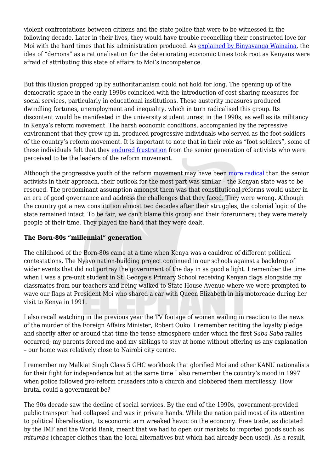violent confrontations between citizens and the state police that were to be witnessed in the following decade. Later in their lives, they would have trouble reconciling their constructed love for Moi with the hard times that his administration produced. As [explained by Binyavanga Wainaina,](https://www.youtube.com/watch?v=SQrln8pogNw) the idea of "demons" as a rationalisation for the deteriorating economic times took root as Kenyans were afraid of attributing this state of affairs to Moi's incompetence.

But this illusion propped up by authoritarianism could not hold for long. The opening up of the democratic space in the early 1990s coincided with the introduction of cost-sharing measures for social services, particularly in educational institutions. These austerity measures produced dwindling fortunes, unemployment and inequality, which in turn radicalised this group. Its discontent would be manifested in the university student unrest in the 1990s, as well as its militancy in Kenya's reform movement. The harsh economic conditions, accompanied by the repressive environment that they grew up in, produced progressive individuals who served as the foot soldiers of the country's reform movement. It is important to note that in their role as "foot soldiers", some of these individuals felt that they [endured frustration](https://www.loc.gov/rr/amed/pdf/Kenyan%20Human%20Rights%20Interviews/Njoroge%20Waithera%20Interview.pdf) from the senior generation of activists who were perceived to be the leaders of the reform movement.

Although the progressive youth of the reform movement may have been [more radical](https://www.loc.gov/rr/amed/pdf/Kenyan%20Human%20Rights%20Interviews/Njoroge%20Waithera%20Interview.pdf) than the senior activists in their approach, their outlook for the most part was similar – the Kenyan state was to be rescued. The predominant assumption amongst them was that constitutional reforms would usher in an era of good governance and address the challenges that they faced. They were wrong. Although the country got a new constitution almost two decades after their struggles, the colonial logic of the state remained intact. To be fair, we can't blame this group and their forerunners; they were merely people of their time. They played the hand that they were dealt.

## **The Born-80s "millennial" generation**

The childhood of the Born-80s came at a time when Kenya was a cauldron of different political contestations. The Nyayo nation-building project continued in our schools against a backdrop of wider events that did not portray the government of the day in as good a light. I remember the time when I was a pre-unit student in St. George's Primary School receiving Kenyan flags alongside my classmates from our teachers and being walked to State House Avenue where we were prompted to wave our flags at President Moi who shared a car with Queen Elizabeth in his motorcade during her visit to Kenya in 1991.

I also recall watching in the previous year the TV footage of women wailing in reaction to the news of the murder of the Foreign Affairs Minister, Robert Ouko. I remember reciting the loyalty pledge and shortly after or around that time the tense atmosphere under which the first *Saba Saba* rallies occurred; my parents forced me and my siblings to stay at home without offering us any explanation – our home was relatively close to Nairobi city centre.

I remember my Malkiat Singh Class 5 GHC workbook that glorified Moi and other KANU nationalists for their fight for independence but at the same time I also remember the country's mood in 1997 when police followed pro-reform crusaders into a church and clobbered them mercilessly. How brutal could a government be?

The 90s decade saw the decline of social services. By the end of the 1990s, government-provided public transport had collapsed and was in private hands. While the nation paid most of its attention to political liberalisation, its economic arm wreaked havoc on the economy. Free trade, as dictated by the IMF and the World Bank, meant that we had to open our markets to imported goods such as *mitumba* (cheaper clothes than the local alternatives but which had already been used). As a result,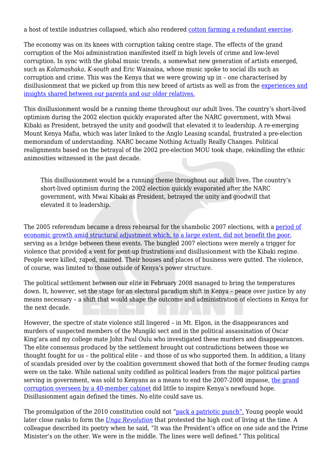a host of textile industries collapsed, which also rendered [cotton farming a redundant exercise.](https://www.standardmedia.co.ke/article/2000046480/how-cotton-farming-withered-in-liberalization)

The economy was on its knees with corruption taking centre stage. The effects of the grand corruption of the Moi administration manifested itself in high levels of crime and low-level corruption. In sync with the global music trends, a somewhat new generation of artists emerged, such as *Kalamashaka*, *K-south* and Eric Wainaina, whose music spoke to social ills such as corruption and crime. This was the Kenya that we were growing up in – one characterised by disillusionment that we picked up from this new breed of artists as well as from the [experiences and](https://www.theelephant.info/reflections/2018/04/19/therevolution-shall-not-be-instagrammed) [insights shared between our parents and our older relatives.](https://www.theelephant.info/reflections/2018/04/19/therevolution-shall-not-be-instagrammed)

This disillusionment would be a running theme throughout our adult lives. The country's short-lived optimism during the 2002 election quickly evaporated after the NARC government, with Mwai Kibaki as President, betrayed the unity and goodwill that elevated it to leadership. A re-emerging Mount Kenya Mafia, which was later linked to the Anglo Leasing scandal, frustrated a pre-election memorandum of understanding. NARC became Nothing Actually Really Changes. Political realignments based on the betrayal of the 2002 pre-election MOU took shape, rekindling the ethnic animosities witnessed in the past decade.

This disillusionment would be a running theme throughout our adult lives. The country's short-lived optimism during the 2002 election quickly evaporated after the NARC government, with Mwai Kibaki as President, betrayed the unity and goodwill that elevated it to leadership.

The 2005 referendum became a dress rehearsal for the shambolic 2007 elections, with a [period of](https://www.nation.co.ke/oped/opinion/Why-Kenyans-are-getting-poorer-despite-rapid-growth/440808-2133782-view-asAMP-oi877q/index.html) [economic growth amid structural adjustment which, to a large extent, did not benefit the poor](https://www.nation.co.ke/oped/opinion/Why-Kenyans-are-getting-poorer-despite-rapid-growth/440808-2133782-view-asAMP-oi877q/index.html), serving as a bridge between these events. The bungled 2007 elections were merely a trigger for violence that provided a vent for pent-up frustrations and disillusionment with the Kibaki regime. People were killed, raped, maimed. Their houses and places of business were gutted. The violence, of course, was limited to those outside of Kenya's power structure.

The political settlement between our elite in February 2008 managed to bring the temperatures down. It, however, set the stage for an electoral paradigm shift in Kenya – peace over justice by any means necessary – a shift that would shape the outcome and administration of elections in Kenya for the next decade.

However, the spectre of state violence still lingered – in Mt. Elgon, in the disappearances and murders of suspected members of the Mungiki sect and in the political assassination of Oscar King'ara and my college mate John Paul Oulu who investigated these murders and disappearances. The elite consensus produced by the settlement brought out contradictions between those we thought fought for us – the political elite – and those of us who supported them. In addition, a litany of scandals presided over by the coalition government showed that both of the former feuding camps were on the take. While national unity codified as political leaders from the major political parties serving in government, was sold to Kenyans as a means to end the 2007-2008 impasse, [the grand](https://www.standardmedia.co.ke/mobile/amp/article/2000007944/why-cabinet-has-evolved-into-architect-of-grand-corruption) [corruption overseen by a 40-member cabinet](https://www.standardmedia.co.ke/mobile/amp/article/2000007944/why-cabinet-has-evolved-into-architect-of-grand-corruption) did little to inspire Kenya's newfound hope. Disillusionment again defined the times. No elite could save us.

The promulgation of the 2010 constitution could not "[pack a patriotic punch".](https://www.theelephant.info/reflections/2018/04/19/therevolution-shall-not-be-instagrammed) Young people would later close ranks to form the *[Unga Revolution](https://www.pambazuka.org/governance/what-unga-revolution)* that protested the high cost of living at the time. A colleague described its poetry when he said, "It was the President's office on one side and the Prime Minister's on the other. We were in the middle. The lines were well defined." This political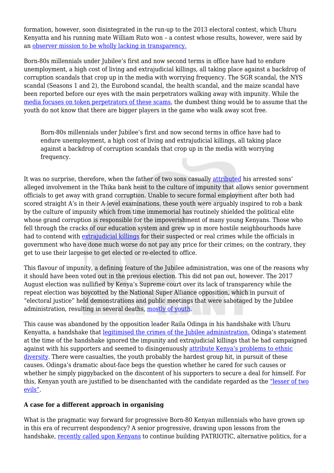formation, however, soon disintegrated in the run-up to the 2013 electoral contest, which Uhuru Kenyatta and his running mate William Ruto won – a contest whose results, however, were said by an [observer mission to be wholly lacking in transparency.](https://www.the-star.co.ke/news/2013/03/20/election-not-transparent-eu-observers_c751892)

Born-80s millennials under Jubilee's first and now second terms in office have had to endure unemployment, a high cost of living and extrajudicial killings, all taking place against a backdrop of corruption scandals that crop up in the media with worrying frequency. The SGR scandal, the NYS scandal (Seasons 1 and 2), the Eurobond scandal, the health scandal, and the maize scandal have been reported before our eyes with the main perpetrators walking away with impunity. While the [media focuses on token perpetrators of these scams](https://www.sde.co.ke/article/2001281583/how-anne-ngirita-s-road-to-nys-millions-went-down-nine-things-you-should-know), the dumbest thing would be to assume that the youth do not know that there are bigger players in the game who walk away scot free.

Born-80s millennials under Jubilee's first and now second terms in office have had to endure unemployment, a high cost of living and extrajudicial killings, all taking place against a backdrop of corruption scandals that crop up in the media with worrying frequency.

It was no surprise, therefore, when the father of two sons casually [attributed](https://www.nation.co.ke/news/Thika-KCB-heist-Suspects-father-speaks-out/1056-4208696-l0ego0/index.html) his arrested sons' alleged involvement in the Thika bank heist to the culture of impunity that allows senior government officials to get away with grand corruption. Unable to secure formal employment after both had scored straight A's in their A-level examinations, these youth were arguably inspired to rob a bank by the culture of impunity which from time immemorial has routinely shielded the political elite whose grand corruption is responsible for the impoverishment of many young Kenyans. Those who fell through the cracks of our education system and grew up in more hostile neighbourhoods have had to contend with [extrajudicial killings](https://www.theelephant.info/documents/mathare-social-justice-centre-who-is-next/) for their suspected or real crimes while the officials in government who have done much worse do not pay any price for their crimes; on the contrary, they get to use their largesse to get elected or re-elected to office.

This flavour of impunity, a defining feature of the Jubilee administration, was one of the reasons why it should have been voted out in the previous election. This did not pan out, however. The 2017 August election was nullified by Kenya's Supreme court over its lack of transparency while the repeat election was boycotted by the National Super Alliance opposition, which in pursuit of "electoral justice" held demonstrations and public meetings that were sabotaged by the Jubilee administration, resulting in several deaths, [mostly of youth.](https://www.trackyourleaderkenya.com/nasa-coalition-hold-fundraiser-laico-regency-hotelnairobi/)

This cause was abandoned by the opposition leader Raila Odinga in his handshake with Uhuru Kenyatta, a handshake that [legitimised the crimes of the Jubilee administration.](https://www.theeastafricanreview.info/op-eds/2018/04/02/raila-odinga-laundering-the-dictatorship-and-its-sons-since-1997/) Odinga's statement at the time of the handshake ignored the impunity and extrajudicial killings that he had campaigned against with his supporters and seemed to disingenuously [attribute Kenya's problems to ethnic](https://ww.nation.co.ke/news/Uhuru--Raila-joint-statement-in-full/1056-4335082-kjgc8u/index.html) [diversity.](https://ww.nation.co.ke/news/Uhuru--Raila-joint-statement-in-full/1056-4335082-kjgc8u/index.html) There were casualties, the youth probably the hardest group hit, in pursuit of these causes. Odinga's dramatic about-face begs the question whether he cared for such causes or whether he simply piggybacked on the discontent of his supporters to secure a deal for himself. For this, Kenyan youth are justified to be disenchanted with the candidate regarded as the ["lesser of two](https://www.theeastafricanreview.info/op-eds/2018/05/26/ethnic-barons-handshake-politics-and-railas-accidental-legacy/) [evils"](https://www.theeastafricanreview.info/op-eds/2018/05/26/ethnic-barons-handshake-politics-and-railas-accidental-legacy/).

## **A case for a different approach in organising**

What is the pragmatic way forward for progressive Born-80 Kenyan millennials who have grown up in this era of recurrent despondency? A senior progressive, drawing upon lessons from the handshake, [recently called upon Kenyans](https://www.theeastafricanreview.info/op-eds/2018/05/26/ethnic-barons-handshake-politics-and-railas-accidental-legacy/) to continue building PATRIOTIC, alternative politics, for a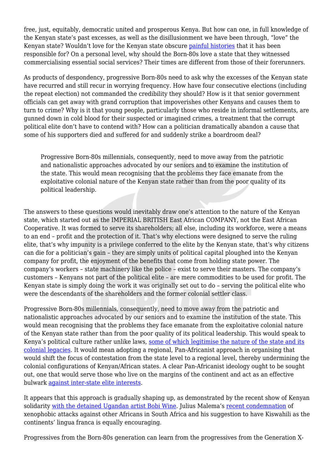free, just, equitably, democratic united and prosperous Kenya. But how can one, in full knowledge of the Kenyan state's past excesses, as well as the disillusionment we have been through, "love" the Kenyan state? Wouldn't love for the Kenyan state obscure [painful histories](https://www.nation.co.ke/news/The-bitter-truth-of-the-TJRC-report/1056-1890536-1ly15m/index.html) that it has been responsible for? On a personal level, why should the Born-80s love a state that they witnessed commercialising essential social services? Their times are different from those of their forerunners.

As products of despondency, progressive Born-80s need to ask why the excesses of the Kenyan state have recurred and still recur in worrying frequency. How have four consecutive elections (including the repeat election) not commanded the credibility they should? How is it that senior government officials can get away with grand corruption that impoverishes other Kenyans and causes them to turn to crime? Why is it that young people, particularly those who reside in informal settlements, are gunned down in cold blood for their suspected or imagined crimes, a treatment that the corrupt political elite don't have to contend with? How can a politician dramatically abandon a cause that some of his supporters died and suffered for and suddenly strike a boardroom deal?

Progressive Born-80s millennials, consequently, need to move away from the patriotic and nationalistic approaches advocated by our seniors and to examine the institution of the state. This would mean recognising that the problems they face emanate from the exploitative colonial nature of the Kenyan state rather than from the poor quality of its political leadership.

The answers to these questions would inevitably draw one's attention to the nature of the Kenyan state, which started out as the IMPERIAL BRITISH East African COMPANY, not the East African Cooperative. It was formed to serve its shareholders; all else, including its workforce, were a means to an end – profit and the protection of it. That's why elections were designed to serve the ruling elite, that's why impunity is a privilege conferred to the elite by the Kenyan state, that's why citizens can die for a politician's gain – they are simply units of political capital ploughed into the Kenyan company for profit, the enjoyment of the benefits that come from holding state power. The company's workers – state machinery like the police – exist to serve their masters. The company's customers – Kenyans not part of the political elite – are mere commodities to be used for profit. The Kenyan state is simply doing the work it was originally set out to do – serving the political elite who were the descendants of the shareholders and the former colonial settler class.

Progressive Born-80s millennials, consequently, need to move away from the patriotic and nationalistic approaches advocated by our seniors and to examine the institution of the state. This would mean recognising that the problems they face emanate from the exploitative colonial nature of the Kenyan state rather than from the poor quality of its political leadership. This would speak to Kenya's political culture rather unlike laws, [some of which legitimise the nature of the state and its](http://www.klrc.go.ke/index.php/constitution-of-kenya/112-chapter-four-the-bill-of-rights/part-2-rights-and-fundamental-freedoms/206-40-protection-of-right-to-property) [colonial legacies.](http://www.klrc.go.ke/index.php/constitution-of-kenya/112-chapter-four-the-bill-of-rights/part-2-rights-and-fundamental-freedoms/206-40-protection-of-right-to-property) It would mean adopting a regional, Pan-Africanist approach in organising that would shift the focus of contestation from the state level to a regional level, thereby undermining the colonial configurations of Kenyan/African states. A clear Pan-Africanist ideology ought to be sought out, one that would serve those who live on the margins of the continent and act as an effective bulwark [against inter-state elite interests](https://www.nation.co.ke/news/Raila-Odinga-queries-Uhuru-Kenyatta-Yoweri-Museveni-deals/1056-2828322-4wbhwkz/index.html).

It appears that this approach is gradually shaping up, as demonstrated by the recent show of Kenyan solidarity [with the detained Ugandan artist Bobi Wine](https://www.standardmedia.co.ke/mobile/amp/article/2001292927/kenyans-join-protests-demanding-release-of-bobi-wine). Julius Malema's [recent condemnation](https://youtu.be/q4Gb_yWSIgQ) of xenophobic attacks against other Africans in South Africa and his suggestion to have Kiswahili as the continents' lingua franca is equally encouraging.

Progressives from the Born-80s generation can learn from the progressives from the Generation X-